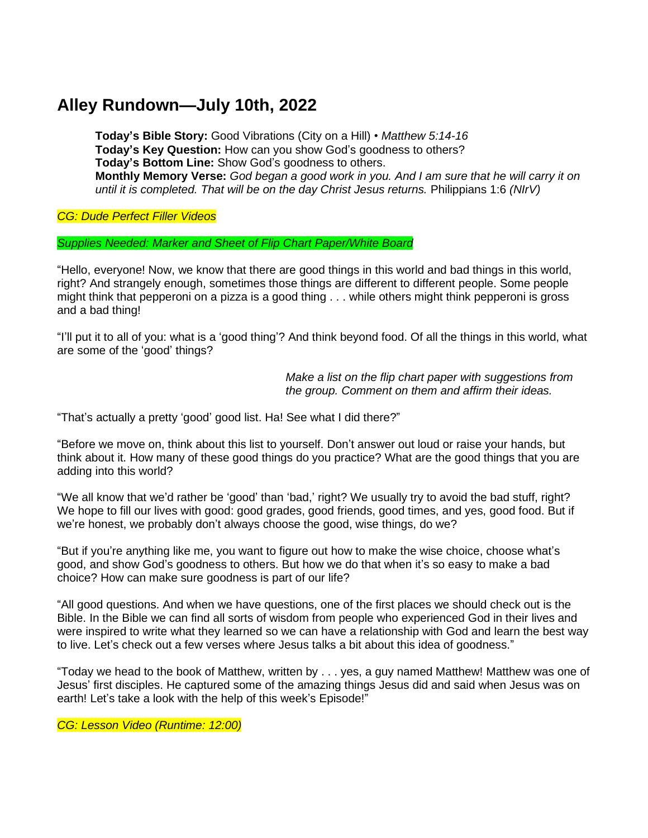# **Alley Rundown—July 10th, 2022**

**Today's Bible Story:** Good Vibrations (City on a Hill) • *Matthew 5:14-16* **Today's Key Question:** How can you show God's goodness to others? **Today's Bottom Line:** Show God's goodness to others. Monthly Memory Verse: God began a good work in you. And I am sure that he will carry it on *until it is completed. That will be on the day Christ Jesus returns.* Philippians 1:6 *(NIrV)*

*CG: Dude Perfect Filler Videos*

#### *Supplies Needed: Marker and Sheet of Flip Chart Paper/White Board*

"Hello, everyone! Now, we know that there are good things in this world and bad things in this world, right? And strangely enough, sometimes those things are different to different people. Some people might think that pepperoni on a pizza is a good thing . . . while others might think pepperoni is gross and a bad thing!

"I'll put it to all of you: what is a 'good thing'? And think beyond food. Of all the things in this world, what are some of the 'good' things?

> *Make a list on the flip chart paper with suggestions from the group. Comment on them and affirm their ideas.*

"That's actually a pretty 'good' good list. Ha! See what I did there?"

"Before we move on, think about this list to yourself. Don't answer out loud or raise your hands, but think about it. How many of these good things do you practice? What are the good things that you are adding into this world?

"We all know that we'd rather be 'good' than 'bad,' right? We usually try to avoid the bad stuff, right? We hope to fill our lives with good: good grades, good friends, good times, and yes, good food. But if we're honest, we probably don't always choose the good, wise things, do we?

"But if you're anything like me, you want to figure out how to make the wise choice, choose what's good, and show God's goodness to others. But how we do that when it's so easy to make a bad choice? How can make sure goodness is part of our life?

"All good questions. And when we have questions, one of the first places we should check out is the Bible. In the Bible we can find all sorts of wisdom from people who experienced God in their lives and were inspired to write what they learned so we can have a relationship with God and learn the best way to live. Let's check out a few verses where Jesus talks a bit about this idea of goodness."

"Today we head to the book of Matthew, written by . . . yes, a guy named Matthew! Matthew was one of Jesus' first disciples. He captured some of the amazing things Jesus did and said when Jesus was on earth! Let's take a look with the help of this week's Episode!"

*CG: Lesson Video (Runtime: 12:00)*